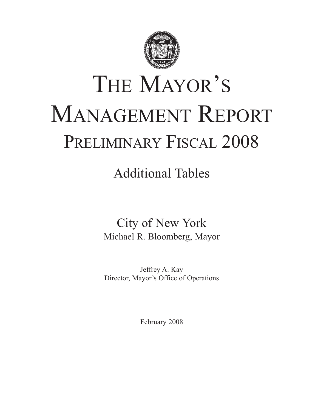

# THE MAYOR'S MANAGEMENT REPORT PRELIMINARY FISCAL 2008

Additional Tables

City of New York Michael R. Bloomberg, Mayor

Jeffrey A. Kay Director, Mayor's Office of Operations

February 2008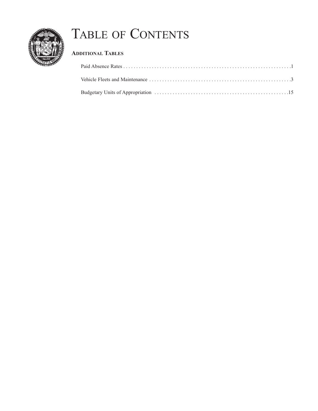

## TABLE OF CONTENTS

## **ADDITIONAL TABLES**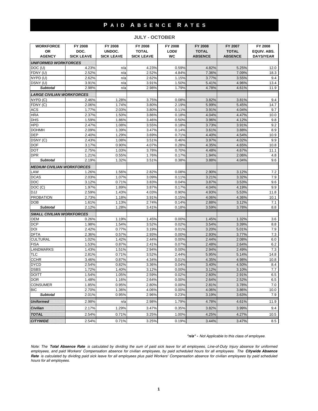#### **P A I D A B S E N C E R A T E S**

**WORKFORCE FY 2008 FY 2008 FY 2008 FY 2008 FY 2008 FY 2007 FY 2008 OR DOC. UNDOC. TOTAL LODI/ TOTAL TOTAL EQUIV. ABS.** AGENCY | SICK LEAVE | SICK LEAVE | SICK LEAVE | WC | ABSENCE | ABSENCE | DAYS/YEAR *UNIFORMED WORKFORCES* DOC (U) 4.23% n/a 4.23% 0.59% 4.82% 5.25% 12.0 FDNY (U) 2.52% n/a 2.52% 4.84% 7.36% 7.09% 18.3 NYPD (U) 2.62% n/a 2.62% 1.15% 3.77% 3.55% 9.4 DSNY (U) 3.91% n/a 3.91% 1.50% 5.41% 4.96% 13.4 *Subtotal* | 2.98% | n/a |2.98% 1.79% 4.78% 4.61% 11.9 *LARGE CIVILIAN WORKFORCES* NYPD (C) 2.46% 1.28% 3.75% 0.08% 3.82% 3.81% 9.4 FDNY (C) 2.06% 1.74% 3.80% 2.19% 5.99% 5.45% 14.7 ACS | 1.77% 2.03% | 3.80% | 0.11% | 3.91% | 4.04% | 9.7 HRA 2.37% 1.50% 3.86% 0.18% 4.04% 4.47% 10.0 DHS 1.59% 1.86% 3.46% 0.50% 3.96% 4.12% 9.8 HPD 2.47% 1.08% 3.55% 0.18% 3.73% 3.91% 9.2 DOHMH 2.09% 1.39% 3.47% 0.14% 3.61% 3.88% 8.9 DEP 2.40% 1.29% 3.69% 0.71% 4.40% 4.54% 10.9 DSNY (C) 2.43% 1.08% 3.51% 0.46% 3.97% 4.02% 9.9 DOF 3.17% 0.90% 4.07% 0.28% 4.35% 4.65% 10.8 DOT 2.75% 1.03% 3.78% 0.70% 4.48% 4.67% 11.1 DPR 1.21% 0.55% 1.76% 0.17% 1.94% 2.06% 4.8 **Subtotal | 2.19% 1.32% 3.51% 0.38% 3.88% 4.04% 9.6** *MEDIUM CIVILIAN WORKFORCES* LAW 1.26% 1.56% 2.82% 0.08% 2.90% 3.12% 7.2 DCAS 2.03% 1.07% 3.09% 0.11% 3.21% 3.32% 7.9 DDC 3.12% 0.71% 3.83% 0.04% 3.87% 3.53% 9.6 DOC (C) 1.97% 1.89% 3.87% 0.17% 4.04% 4.19% 9.9 DJJ 2.59% 1.43% 4.03% 0.90% 4.93% 5.53% 11.8 PROBATION 2.73% 1.18% 3.91% 0.15% 4.06% 4.36% 10.1 DOB 1.61% 1.13% 2.74% 0.14% 2.88% 3.12% 7.1 **Subtotal | 2.12% 1.28% 3.41% 0.18% 3.59% 3.78% 8.8** *SMALL CIVILIAN WORKFORCES* OEM 0.26% 1.19% 1.45% 0.00% 1.45% 1.32% 3.6 DCP 1.98% 1.54% 3.52% 0.02% 3.54% 3.39% 8.8 DOI 2.42% 0.77% 3.19% 0.01% 3.20% 5.01% 7.9 DFTA 2.36% 0.57% 2.93% 0.00% 2.93% 3.77% 7.3 CULTURAL 1.02% 1.42% 2.44% 0.00% 2.44% 2.08% 6.0 FISA 1.53% 0.87% 2.41% 0.07% 2.48% 2.64% 6.2 LANDMARKS 1.43% 1.51% 2.94% 0.00% 2.94% 2.49% 7.3 TLC 2.81% 0.71% 3.52% 2.44% 5.95% 5.14% 14.8 CCHR | 3.46%| 0.87%| 4.34%| 0.01%| 4.35%| 4.98%| 10.8 DYCD 2.54% 0.82% 3.36% 0.04% 3.40% 4.50% 8.4 DSBS 1.72% 1.40% 3.12% 0.00% 3.12% 3.10% 7.7 DOITT 1.54% 1.05% 2.59% 0.02% 2.60% 2.91% 6.5 DOR 1.48% 1.16% 2.64% 0.00% 2.64% 2.52% 6.5 CONSUMER 1.85% 0.95% 2.80% 0.00% 2.81% 3.78% 7.0 BIC | 2.70% | 1.36% | 4.06% | 10.0 *Subtotal* 2.01% 0.95% 2.96% 0.23% 3.19% 3.63% 7.9

**JULY - OCTOBER**

#### *"n/a" - Not Applicable to this class of employee.*

*Note: The Total Absence Rate is calculated by dividing the sum of paid sick leave for all employees, Line-of-Duty Injury absence for uniformed employees, and paid Workers' Compensation absence for civilian employees, by paid scheduled hours for all employees. The Citywide Absence Rate is calculated by dividing paid sick leave for all employees plus paid Workers' Compensation absence for civilian employees by paid scheduled hours for all employees.*

**Uniformed 2.98% 11.9 (11.9 m/a 2.98% 1.79% 4.78% 4.61% 11.9 m/a 2.98% 11.9 m/a 2.98% 11.9 m/a 2.98% 11.9 m/a 2.98 m Civilian 2.17% 1.29% 3.47% 0.35% 3.82% 3.99% 9.4** *TOTAL* 2.54% 0.71% 3.25% 1.00% 4.25% 4.27% 10.5 **CITYWIDE 2.**54% 2.54% 0.71% 3.25% 0.19% 3.44% 3.47% 3.47% 8.5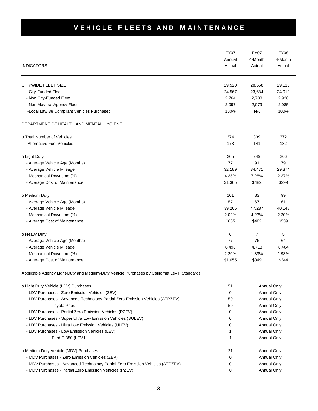|                                                                                               | <b>FY07</b><br>Annual | <b>FY07</b><br>4-Month | <b>FY08</b><br>4-Month |
|-----------------------------------------------------------------------------------------------|-----------------------|------------------------|------------------------|
| <b>INDICATORS</b>                                                                             | Actual                | Actual                 | Actual                 |
| CITYWIDE FLEET SIZE                                                                           | 29,520                | 28,568                 | 29,115                 |
| - City-Funded Fleet                                                                           | 24,567                | 23,684                 | 24,012                 |
| - Non City-Funded Fleet                                                                       | 2,764                 | 2,703                  | 2,926                  |
| - Non Mayoral Agency Fleet                                                                    | 2,097                 | 2,079                  | 2,085                  |
| -Local Law 38 Compliant Vehicles Purchased                                                    | 100%                  | <b>NA</b>              | 100%                   |
| DEPARTMENT OF HEALTH AND MENTAL HYGIENE                                                       |                       |                        |                        |
| o Total Number of Vehicles                                                                    | 374                   | 339                    | 372                    |
| - Alternative Fuel Vehicles                                                                   | 173                   | 141                    | 182                    |
| o Light Duty                                                                                  | 265                   | 249                    | 266                    |
| - Average Vehicle Age (Months)                                                                | 77                    | 91                     | 79                     |
| - Average Vehicle Mileage                                                                     | 32,189                | 34,471                 | 29,374                 |
| - Mechanical Downtime (%)                                                                     | 4.35%                 | 7.28%                  | 2.27%                  |
| - Average Cost of Maintenance                                                                 | \$1,365               | \$482                  | \$299                  |
| o Medium Duty                                                                                 | 101                   | 83                     | 99                     |
| - Average Vehicle Age (Months)                                                                | 57                    | 67                     | 61                     |
| - Average Vehicle Mileage                                                                     | 39,265                | 47,287                 | 40,148                 |
| - Mechanical Downtime (%)                                                                     | 2.02%                 | 4.23%                  | 2.20%                  |
| - Average Cost of Maintenance                                                                 | \$885                 | \$482                  | \$539                  |
| o Heavy Duty                                                                                  | 6                     | 7                      | 5                      |
| - Average Vehicle Age (Months)                                                                | 77                    | 76                     | 64                     |
| - Average Vehicle Mileage                                                                     | 6,496                 | 4,718                  | 8,404                  |
| - Mechanical Downtime (%)                                                                     | 2.20%                 | 1.39%                  | 1.93%                  |
| - Average Cost of Maintenance                                                                 | \$1,055               | \$349                  | \$344                  |
| Applicable Agency Light-Duty and Medium-Duty Vehicle Purchases by California Lev II Standards |                       |                        |                        |
| o Light Duty Vehicle (LDV) Purchases                                                          | 51                    |                        | <b>Annual Only</b>     |
| - LDV Purchases - Zero Emission Vehicles (ZEV)                                                | 0                     |                        | Annual Only            |
| - LDV Purchases - Advanced Technology Partial Zero Emission Vehicles (ATPZEV)                 | 50                    |                        | Annual Only            |
| - Toyota Prius                                                                                | 50                    |                        | <b>Annual Only</b>     |
| - LDV Purchases - Partial Zero Emission Vehicles (PZEV)                                       | 0                     |                        | Annual Only            |
| - LDV Purchases - Super Ultra Low Emission Vehicles (SULEV)                                   | 0                     |                        | Annual Only            |
| - LDV Purchases - Ultra Low Emission Vehicles (ULEV)                                          | 0                     |                        | Annual Only            |
| - LDV Purchases - Low Emission Vehicles (LEV)                                                 | 1                     |                        | Annual Only            |
| - Ford E-350 (LEV II)                                                                         | 1                     |                        | Annual Only            |
| o Medium Duty Vehicle (MDV) Purchases                                                         | 21                    |                        | <b>Annual Only</b>     |
| - MDV Purchases - Zero Emission Vehicles (ZEV)                                                | 0                     |                        | <b>Annual Only</b>     |
| - MDV Purchases - Advanced Technology Partial Zero Emission Vehicles (ATPZEV)                 | 0                     |                        | Annual Only            |
| - MDV Purchases - Partial Zero Emission Vehicles (PZEV)                                       | 0                     |                        | Annual Only            |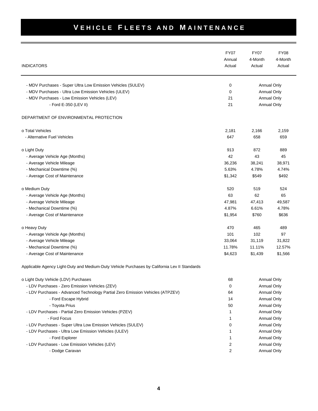|                                                                                               | <b>FY07</b> | <b>FY07</b>                | <b>FY08</b>        |
|-----------------------------------------------------------------------------------------------|-------------|----------------------------|--------------------|
|                                                                                               | Annual      | 4-Month                    | 4-Month            |
| <b>INDICATORS</b>                                                                             | Actual      | Actual                     | Actual             |
| - MDV Purchases - Super Ultra Low Emission Vehicles (SULEV)                                   | 0           |                            |                    |
| - MDV Purchases - Ultra Low Emission Vehicles (ULEV)                                          | 0           | Annual Only<br>Annual Only |                    |
| - MDV Purchases - Low Emission Vehicles (LEV)                                                 | 21          |                            | Annual Only        |
| - Ford E-350 (LEV II)                                                                         | 21          |                            | Annual Only        |
| DEPARTMENT OF ENVIRONMENTAL PROTECTION                                                        |             |                            |                    |
| o Total Vehicles                                                                              | 2,181       | 2,166                      | 2,159              |
| - Alternative Fuel Vehicles                                                                   | 647         | 658                        | 659                |
| o Light Duty                                                                                  | 913         | 872                        | 889                |
| - Average Vehicle Age (Months)                                                                | 42          | 43                         | 45                 |
| - Average Vehicle Mileage                                                                     | 36,236      | 38,241                     | 38,971             |
| - Mechanical Downtime (%)                                                                     | 5.63%       | 4.78%                      | 4.74%              |
| - Average Cost of Maintenance                                                                 | \$1,342     | \$549                      | \$492              |
| o Medium Duty                                                                                 | 520         | 519                        | 524                |
| - Average Vehicle Age (Months)                                                                | 63          | 62                         | 65                 |
| - Average Vehicle Mileage                                                                     | 47,981      | 47,413                     | 49,587             |
| - Mechanical Downtime (%)                                                                     | 4.87%       | 6.61%                      | 4.78%              |
| - Average Cost of Maintenance                                                                 | \$1,954     | \$760                      | \$636              |
| o Heavy Duty                                                                                  | 470         | 465                        | 489                |
| - Average Vehicle Age (Months)                                                                | 101         | 102                        | 97                 |
| - Average Vehicle Mileage                                                                     | 33,064      | 31,119                     | 31,822             |
| - Mechanical Downtime (%)                                                                     | 11.78%      | 11.11%                     | 12.57%             |
| - Average Cost of Maintenance                                                                 | \$4,623     | \$1,439                    | \$1,566            |
| Applicable Agency Light-Duty and Medium-Duty Vehicle Purchases by California Lev II Standards |             |                            |                    |
| o Light Duty Vehicle (LDV) Purchases                                                          | 68          |                            | <b>Annual Only</b> |
| - LDV Purchases - Zero Emission Vehicles (ZEV)                                                | 0           |                            | Annual Only        |
| - LDV Purchases - Advanced Technology Partial Zero Emission Vehicles (ATPZEV)                 | 64          |                            | Annual Only        |
| - Ford Escape Hybrid                                                                          | 14          |                            | Annual Only        |
| - Toyota Prius                                                                                | 50          |                            | <b>Annual Only</b> |
| - LDV Purchases - Partial Zero Emission Vehicles (PZEV)                                       | 1           |                            | Annual Only        |
| - Ford Focus                                                                                  | 1           |                            | Annual Only        |
| - LDV Purchases - Super Ultra Low Emission Vehicles (SULEV)                                   | 0           |                            | Annual Only        |
| - LDV Purchases - Ultra Low Emission Vehicles (ULEV)                                          | 1           |                            | Annual Only        |
| - Ford Explorer                                                                               | 1           |                            | Annual Only        |
| - LDV Purchases - Low Emission Vehicles (LEV)                                                 | 2           |                            | Annual Only        |
| - Dodge Caravan                                                                               | 2           |                            | Annual Only        |
|                                                                                               |             |                            |                    |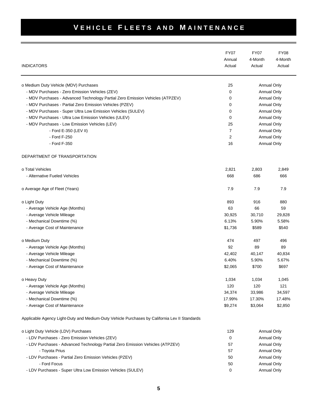| <b>INDICATORS</b>                                                                             | <b>FY07</b><br>Annual<br>Actual | <b>FY07</b><br>4-Month<br>Actual | <b>FY08</b><br>4-Month<br>Actual |
|-----------------------------------------------------------------------------------------------|---------------------------------|----------------------------------|----------------------------------|
| o Medium Duty Vehicle (MDV) Purchases                                                         | 25                              |                                  | Annual Only                      |
| - MDV Purchases - Zero Emission Vehicles (ZEV)                                                | 0                               |                                  | Annual Only                      |
| - MDV Purchases - Advanced Technology Partial Zero Emission Vehicles (ATPZEV)                 | 0                               |                                  | Annual Only                      |
| - MDV Purchases - Partial Zero Emission Vehicles (PZEV)                                       | 0                               |                                  | Annual Only                      |
| - MDV Purchases - Super Ultra Low Emission Vehicles (SULEV)                                   | 0                               |                                  | Annual Only                      |
| - MDV Purchases - Ultra Low Emission Vehicles (ULEV)                                          | 0                               |                                  | <b>Annual Only</b>               |
| - MDV Purchases - Low Emission Vehicles (LEV)                                                 | 25                              |                                  | Annual Only                      |
| - Ford E-350 (LEV II)                                                                         | 7                               |                                  | Annual Only                      |
| - Ford F-250                                                                                  | 2                               |                                  | Annual Only                      |
| - Ford F-350                                                                                  | 16                              |                                  | Annual Only                      |
| DEPARTMENT OF TRANSPORTATION                                                                  |                                 |                                  |                                  |
| o Total Vehicles                                                                              | 2,821                           | 2,803                            | 2,849                            |
| - Alternative Fueled Vehicles                                                                 | 668                             | 686                              | 666                              |
| o Average Age of Fleet (Years)                                                                | 7.9                             | 7.9                              | 7.9                              |
| o Light Duty                                                                                  | 893                             | 916                              | 880                              |
| - Average Vehicle Age (Months)                                                                | 63                              | 66                               | 59                               |
| - Average Vehicle Mileage                                                                     | 30,925                          | 30,710                           | 29,828                           |
| - Mechanical Downtime (%)                                                                     | 6.13%                           | 5.90%                            | 5.58%                            |
| - Average Cost of Maintenance                                                                 | \$1,736                         | \$589                            | \$540                            |
| o Medium Duty                                                                                 | 474                             | 497                              | 496                              |
| - Average Vehicle Age (Months)                                                                | 92                              | 89                               | 89                               |
| - Average Vehicle Mileage                                                                     | 42,402                          | 40,147                           | 40,834                           |
| - Mechanical Downtime (%)                                                                     | 6.40%                           | 5.90%                            | 5.67%                            |
| - Average Cost of Maintenance                                                                 | \$2,065                         | \$700                            | \$697                            |
| o Heavy Duty                                                                                  | 1,034                           | 1,034                            | 1,045                            |
| - Average Vehicle Age (Months)                                                                | 120                             | 120                              | 121                              |
| - Average Vehicle Mileage                                                                     | 34,374                          | 33,986                           | 34,597                           |
| - Mechanical Downtime (%)                                                                     | 17.99%                          | 17.30%                           | 17.48%                           |
| - Average Cost of Maintenance                                                                 | \$9,274                         | \$3,064                          | \$2,850                          |
| Applicable Agency Light-Duty and Medium-Duty Vehicle Purchases by California Lev II Standards |                                 |                                  |                                  |
| o Light Duty Vehicle (LDV) Purchases                                                          | 129                             |                                  | <b>Annual Only</b>               |
| - LDV Purchases - Zero Emission Vehicles (ZEV)                                                | 0                               |                                  | Annual Only                      |
| - LDV Purchases - Advanced Technology Partial Zero Emission Vehicles (ATPZEV)                 | 57                              |                                  | Annual Only                      |
| - Toyota Prius                                                                                | 57                              |                                  | <b>Annual Only</b>               |
| - LDV Purchases - Partial Zero Emission Vehicles (PZEV)                                       | 50                              |                                  | Annual Only                      |
| - Ford Focus                                                                                  | 50                              |                                  | Annual Only                      |

- LDV Purchases - Super Ultra Low Emission Vehicles (SULEV) and the contract of the contract of the Annual Only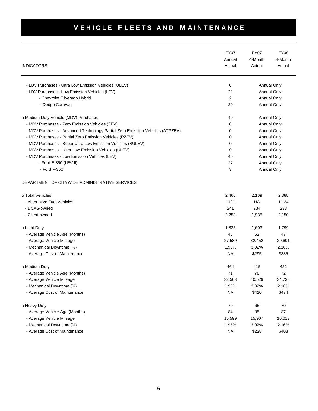|                                                                               | <b>FY07</b> | <b>FY07</b>        | <b>FY08</b>        |
|-------------------------------------------------------------------------------|-------------|--------------------|--------------------|
|                                                                               | Annual      | 4-Month            | 4-Month            |
| <b>INDICATORS</b>                                                             | Actual      | Actual             | Actual             |
| - LDV Purchases - Ultra Low Emission Vehicles (ULEV)                          | 0           |                    | Annual Only        |
| - LDV Purchases - Low Emission Vehicles (LEV)                                 | 22          |                    | Annual Only        |
| - Chevrolet Silverado Hybrid                                                  | 2           |                    | Annual Only        |
| - Dodge Caravan                                                               | 20          |                    | Annual Only        |
| o Medium Duty Vehicle (MDV) Purchases                                         | 40          |                    | <b>Annual Only</b> |
| - MDV Purchases - Zero Emission Vehicles (ZEV)                                | 0           |                    | <b>Annual Only</b> |
| - MDV Purchases - Advanced Technology Partial Zero Emission Vehicles (ATPZEV) | 0           |                    | Annual Only        |
| - MDV Purchases - Partial Zero Emission Vehicles (PZEV)                       | 0           |                    | Annual Only        |
| - MDV Purchases - Super Ultra Low Emission Vehicles (SULEV)                   | 0           |                    | <b>Annual Only</b> |
| - MDV Purchases - Ultra Low Emission Vehicles (ULEV)                          | 0           |                    | Annual Only        |
| - MDV Purchases - Low Emission Vehicles (LEV)                                 | 40          |                    | Annual Only        |
| - Ford E-350 (LEV II)                                                         | 37          |                    | <b>Annual Only</b> |
| - Ford F-350                                                                  | 3           | <b>Annual Only</b> |                    |
| DEPARTMENT OF CITYWIDE ADMINISTRATIVE SERVICES                                |             |                    |                    |
| o Total Vehicles                                                              | 2,466       | 2,169              | 2,388              |
| - Alternative Fuel Vehicles                                                   | 1121        | <b>NA</b>          | 1,124              |
| - DCAS-owned                                                                  | 241         | 234                | 238                |
| - Client-owned                                                                | 2,253       | 1,935              | 2,150              |
| o Light Duty                                                                  | 1,835       | 1,603              | 1,799              |
| - Average Vehicle Age (Months)                                                | 46          | 52                 | 47                 |
| - Average Vehicle Mileage                                                     | 27,589      | 32,452             | 29,601             |
| - Mechanical Downtime (%)                                                     | 1.95%       | 3.02%              | 2.16%              |
| - Average Cost of Maintenance                                                 | <b>NA</b>   | \$295              | \$335              |
| o Medium Duty                                                                 | 464         | 415                | 422                |
| - Average Vehicle Age (Months)                                                | 71          | 78                 | 72                 |
| - Average Vehicle Mileage                                                     | 32,563      | 40,529             | 34,738             |
| - Mechanical Downtime (%)                                                     | 1.95%       | 3.02%              | 2.16%              |
| - Average Cost of Maintenance                                                 | <b>NA</b>   | \$410              | \$474              |
| o Heavy Duty                                                                  | 70          | 65                 | 70                 |
| - Average Vehicle Age (Months)                                                | 84          | 85                 | 87                 |
| - Average Vehicle Mileage                                                     | 15,599      | 15,907             | 16,013             |
| - Mechanical Downtime (%)                                                     | 1.95%       | 3.02%              | 2.16%              |
| - Average Cost of Maintenance                                                 | <b>NA</b>   | \$228              | \$403              |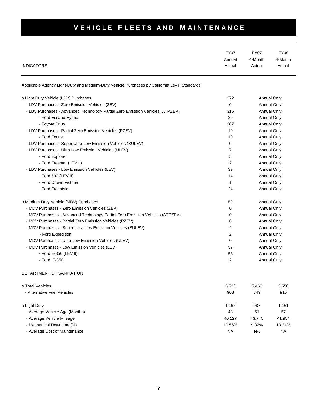| <b>INDICATORS</b>                                                                             | <b>FY07</b><br>Annual<br>Actual | <b>FY07</b><br>4-Month<br>Actual | <b>FY08</b><br>4-Month<br>Actual |
|-----------------------------------------------------------------------------------------------|---------------------------------|----------------------------------|----------------------------------|
| Applicable Agency Light-Duty and Medium-Duty Vehicle Purchases by California Lev II Standards |                                 |                                  |                                  |
| o Light Duty Vehicle (LDV) Purchases                                                          | 372                             |                                  | <b>Annual Only</b>               |
| - LDV Purchases - Zero Emission Vehicles (ZEV)                                                | $\Omega$                        |                                  | <b>Annual Only</b>               |
| - LDV Purchases - Advanced Technology Partial Zero Emission Vehicles (ATPZEV)                 | 316                             |                                  | Annual Only                      |
| - Ford Escape Hybrid                                                                          | 29                              |                                  | Annual Only                      |
| - Toyota Prius                                                                                | 287                             |                                  | Annual Only                      |
| - LDV Purchases - Partial Zero Emission Vehicles (PZEV)                                       | 10                              |                                  | <b>Annual Only</b>               |
| - Ford Focus                                                                                  | 10                              |                                  | <b>Annual Only</b>               |
| - LDV Purchases - Super Ultra Low Emission Vehicles (SULEV)                                   | 0                               |                                  | <b>Annual Only</b>               |
| - LDV Purchases - Ultra Low Emission Vehicles (ULEV)                                          | 7                               |                                  | <b>Annual Only</b>               |
| - Ford Explorer                                                                               | 5                               |                                  | Annual Only                      |
| - Ford Freestar (LEV II)                                                                      | 2                               |                                  | <b>Annual Only</b>               |
| - LDV Purchases - Low Emission Vehicles (LEV)                                                 | 39                              |                                  | Annual Only                      |
| - Ford 500 (LEV II)                                                                           | 14                              | <b>Annual Only</b>               |                                  |
| - Ford Crown Victoria                                                                         | 1                               | Annual Only                      |                                  |
| - Ford Freestyle                                                                              | 24                              |                                  | <b>Annual Only</b>               |
| o Medium Duty Vehicle (MDV) Purchases                                                         | 59                              |                                  | Annual Only                      |
| - MDV Purchases - Zero Emission Vehicles (ZEV)                                                | 0                               |                                  | <b>Annual Only</b>               |
| - MDV Purchases - Advanced Technology Partial Zero Emission Vehicles (ATPZEV)                 | 0                               |                                  | <b>Annual Only</b>               |
| - MDV Purchases - Partial Zero Emission Vehicles (PZEV)                                       | 0                               |                                  | <b>Annual Only</b>               |
| - MDV Purchases - Super Ultra Low Emission Vehicles (SULEV)                                   | 2                               |                                  | <b>Annual Only</b>               |
| - Ford Expedition                                                                             | 2                               |                                  | <b>Annual Only</b>               |
| - MDV Purchases - Ultra Low Emission Vehicles (ULEV)                                          | 0                               |                                  | Annual Only                      |
| - MDV Purchases - Low Emission Vehicles (LEV)                                                 | 57                              |                                  | Annual Only                      |
| - Ford E-350 (LEV II)                                                                         | 55                              |                                  | <b>Annual Only</b>               |
| - Ford F-350                                                                                  | 2                               |                                  | Annual Only                      |
| DEPARTMENT OF SANITATION                                                                      |                                 |                                  |                                  |
| o Total Vehicles                                                                              | 5,538                           | 5,460                            | 5,550                            |
| - Alternative Fuel Vehicles                                                                   | 908                             | 849                              | 915                              |
| o Light Duty                                                                                  | 1,165                           | 987                              | 1,161                            |
| - Average Vehicle Age (Months)                                                                | 48                              | 61                               | 57                               |
| - Average Vehicle Mileage                                                                     | 40,127                          | 43,745                           | 41,954                           |
| - Mechanical Downtime (%)                                                                     | 10.56%                          | 9.32%                            | 13.34%                           |
| - Average Cost of Maintenance                                                                 | <b>NA</b>                       | <b>NA</b><br><b>NA</b>           |                                  |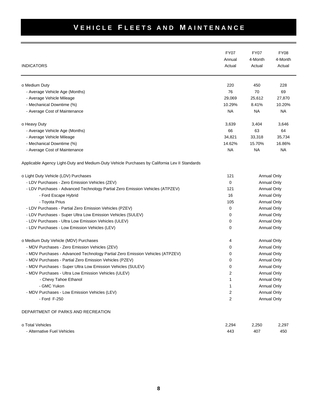| <b>INDICATORS</b>                                                                             | <b>FY07</b><br>Annual<br>Actual | <b>FY07</b><br>4-Month<br>Actual | <b>FY08</b><br>4-Month<br>Actual |
|-----------------------------------------------------------------------------------------------|---------------------------------|----------------------------------|----------------------------------|
| o Medium Duty                                                                                 | 220                             | 450                              | 228                              |
| - Average Vehicle Age (Months)                                                                | 76                              | 70                               | 69                               |
| - Average Vehicle Mileage                                                                     | 29,069                          | 25,612                           | 27,870                           |
| - Mechanical Downtime (%)                                                                     | 10.29%                          | 8.41%                            | 10.20%                           |
| - Average Cost of Maintenance                                                                 | NA                              | <b>NA</b>                        | <b>NA</b>                        |
| o Heavy Duty                                                                                  | 3,639                           | 3,404                            | 3,646                            |
| - Average Vehicle Age (Months)                                                                | 66                              | 63                               | 64                               |
| - Average Vehicle Mileage                                                                     | 34,821                          | 33,318                           | 35,734                           |
| - Mechanical Downtime (%)                                                                     | 14.62%                          | 15.70%                           | 16.86%                           |
| - Average Cost of Maintenance                                                                 | NA                              | <b>NA</b>                        | <b>NA</b>                        |
| Applicable Agency Light-Duty and Medium-Duty Vehicle Purchases by California Lev II Standards |                                 |                                  |                                  |
| o Light Duty Vehicle (LDV) Purchases                                                          | 121                             |                                  | <b>Annual Only</b>               |
| - LDV Purchases - Zero Emission Vehicles (ZEV)                                                | 0                               |                                  | <b>Annual Only</b>               |
| - LDV Purchases - Advanced Technology Partial Zero Emission Vehicles (ATPZEV)                 | 121                             |                                  | <b>Annual Only</b>               |
| - Ford Escape Hybrid                                                                          | 16                              |                                  | <b>Annual Only</b>               |
| - Toyota Prius                                                                                | 105                             |                                  | <b>Annual Only</b>               |
| - LDV Purchases - Partial Zero Emission Vehicles (PZEV)                                       | $\mathbf 0$                     |                                  | <b>Annual Only</b>               |
| - LDV Purchases - Super Ultra Low Emission Vehicles (SULEV)                                   | 0                               |                                  | <b>Annual Only</b>               |
| - LDV Purchases - Ultra Low Emission Vehicles (ULEV)                                          | 0                               |                                  | <b>Annual Only</b>               |
| - LDV Purchases - Low Emission Vehicles (LEV)                                                 | 0                               |                                  | <b>Annual Only</b>               |
| o Medium Duty Vehicle (MDV) Purchases                                                         | 4                               |                                  | <b>Annual Only</b>               |
| - MDV Purchases - Zero Emission Vehicles (ZEV)                                                | 0                               |                                  | <b>Annual Only</b>               |
| - MDV Purchases - Advanced Technology Partial Zero Emission Vehicles (ATPZEV)                 | 0                               |                                  | <b>Annual Only</b>               |
| - MDV Purchases - Partial Zero Emission Vehicles (PZEV)                                       | 0                               |                                  | <b>Annual Only</b>               |
| - MDV Purchases - Super Ultra Low Emission Vehicles (SULEV)                                   | 0                               |                                  | <b>Annual Only</b>               |
| - MDV Purchases - Ultra Low Emission Vehicles (ULEV)                                          | $\overline{2}$                  |                                  | <b>Annual Only</b>               |
| - Chevy Tahoe Ethanol                                                                         | 1                               |                                  | <b>Annual Only</b>               |
| - GMC Yukon                                                                                   | 1                               |                                  | <b>Annual Only</b>               |
| - MDV Purchases - Low Emission Vehicles (LEV)                                                 | 2                               |                                  | Annual Only                      |
| - Ford F-250                                                                                  | $\overline{2}$                  |                                  | <b>Annual Only</b>               |
| DEPARTMENT OF PARKS AND RECREATION                                                            |                                 |                                  |                                  |

| o Total Vehicles            | 2.294 | 2.250 | 2.297 |
|-----------------------------|-------|-------|-------|
| - Alternative Fuel Vehicles | 443   | 407   | 450   |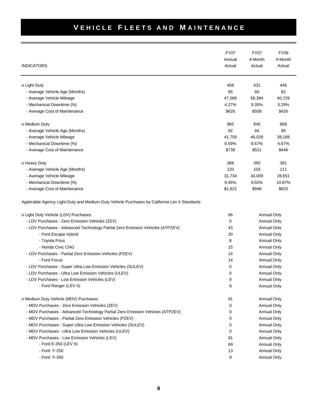|                                                                                               | <b>FY07</b> | <b>FY07</b> | <b>FY08</b>        |
|-----------------------------------------------------------------------------------------------|-------------|-------------|--------------------|
|                                                                                               | Annual      | 4-Month     | 4-Month            |
| <b>INDICATORS</b>                                                                             | Actual      | Actual      | Actual             |
| o Light Duty                                                                                  | 458         | 431         | 446                |
| - Average Vehicle Age (Months)                                                                | 85          | 60          | 82                 |
| - Average Vehicle Mileage                                                                     | 47,589      | 56,394      | 40,729             |
| - Mechanical Downtime (%)                                                                     | 4.27%       | 9.35%       | 3.29%              |
| - Average Cost of Maintenance                                                                 | \$626       | \$508       | \$426              |
| o Medium Duty                                                                                 | 865         | 840         | 868                |
| - Average Vehicle Age (Months)                                                                | 92          | 84          | 85                 |
| - Average Vehicle Mileage                                                                     | 41,759      | 46,028      | 38,169             |
| - Mechanical Downtime (%)                                                                     | 6.59%       | 8.67%       | 4.67%              |
| - Average Cost of Maintenance                                                                 | \$738       | \$521       | \$446              |
| o Heavy Duty                                                                                  | 368         | 350         | 381                |
| - Average Vehicle Age (Months)                                                                | 120         | 103         | 111                |
| - Average Vehicle Mileage                                                                     | 31,734      | 34,009      | 28,651             |
| - Mechanical Downtime (%)                                                                     | 9.45%       | 9.55%       | 10.87%             |
| - Average Cost of Maintenance                                                                 | \$1,822     | \$948       | \$825              |
| Applicable Agency Light-Duty and Medium-Duty Vehicle Purchases by California Lev II Standards |             |             |                    |
| o Light Duty Vehicle (LDV) Purchases                                                          | 66          |             | <b>Annual Only</b> |
| - LDV Purchases - Zero Emission Vehicles (ZEV)                                                | 0           |             | Annual Only        |
| - LDV Purchases - Advanced Technology Partial Zero Emission Vehicles (ATPZEV)                 | 43          |             | <b>Annual Only</b> |
| - Ford Escape Hybrid                                                                          | 20          |             | Annual Only        |
| - Toyota Prius                                                                                | 8           |             | Annual Only        |
| - Honda Civic CNG                                                                             | 15          |             | <b>Annual Only</b> |
| - LDV Purchases - Partial Zero Emission Vehicles (PZEV)                                       | 14          |             | <b>Annual Only</b> |
| - Ford Focus                                                                                  | 14          |             | <b>Annual Only</b> |
| - LDV Purchases - Super Ultra Low Emission Vehicles (SULEV)                                   | 0           |             | <b>Annual Only</b> |
| - LDV Purchases - Ultra Low Emission Vehicles (ULEV)                                          | 0           |             | <b>Annual Only</b> |
| - LDV Purchases - Low Emission Vehicles (LEV)                                                 | 9           |             | <b>Annual Only</b> |
| - Ford Ranger (LEV II)                                                                        | 9           |             | <b>Annual Only</b> |
| o Medium Duty Vehicle (MDV) Purchases                                                         | 91          |             | <b>Annual Only</b> |
| - MDV Purchases - Zero Emission Vehicles (ZEV)                                                | 0           |             | Annual Only        |
| - MDV Purchases - Advanced Technology Partial Zero Emission Vehicles (ATPZEV)                 | 0           |             | <b>Annual Only</b> |
| - MDV Purchases - Partial Zero Emission Vehicles (PZEV)                                       | 0           |             | <b>Annual Only</b> |
| - MDV Purchases - Super Ultra Low Emission Vehicles (SULEV)                                   | 0           |             | Annual Only        |
| - MDV Purchases - Ultra Low Emission Vehicles (ULEV)                                          | 0           |             | <b>Annual Only</b> |
| - MDV Purchases - Low Emission Vehicles (LEV)                                                 | 91          |             | <b>Annual Only</b> |
| - Ford E-350 (LEV II)                                                                         | 69          |             | <b>Annual Only</b> |
| - Ford F-250                                                                                  | 13          |             | <b>Annual Only</b> |
| - Ford F-350                                                                                  | 9           |             | <b>Annual Only</b> |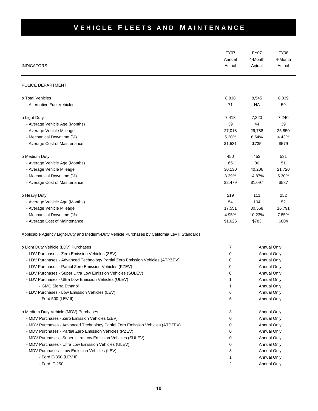| <b>INDICATORS</b>                                                                             | <b>FY07</b><br>Annual<br>Actual | <b>FY07</b><br>4-Month<br>Actual | <b>FY08</b><br>4-Month<br>Actual |
|-----------------------------------------------------------------------------------------------|---------------------------------|----------------------------------|----------------------------------|
| POLICE DEPARTMENT                                                                             |                                 |                                  |                                  |
| o Total Vehicles                                                                              | 8,838                           | 8,545                            | 8,839                            |
| - Alternative Fuel Vehicles                                                                   | 71                              | <b>NA</b>                        | 59                               |
| o Light Duty                                                                                  | 7,418                           | 7,320                            | 7,240                            |
| - Average Vehicle Age (Months)                                                                | 39                              | 44                               | 39                               |
| - Average Vehicle Mileage                                                                     | 27,018                          | 29,788                           | 25,850                           |
| - Mechanical Downtime (%)                                                                     | 5.20%                           | 8.54%                            | 4.43%                            |
| - Average Cost of Maintenance                                                                 | \$1,531                         | \$735                            | \$579                            |
| o Medium Duty                                                                                 | 450                             | 453                              | 531                              |
| - Average Vehicle Age (Months)                                                                | 65                              | 80                               | 51                               |
| - Average Vehicle Mileage                                                                     | 30,130                          | 40,206                           | 21,720                           |
| - Mechanical Downtime (%)                                                                     | 8.29%                           | 14.87%                           | 5.30%                            |
| - Average Cost of Maintenance                                                                 | \$2,479                         | \$1,097                          | \$587                            |
| o Heavy Duty                                                                                  | 219                             | 111                              | 252                              |
| - Average Vehicle Age (Months)                                                                | 54                              | 104                              | 52                               |
| - Average Vehicle Mileage                                                                     | 17,551                          | 30,568                           | 16,791                           |
| - Mechanical Downtime (%)                                                                     | 4.95%                           | 10.23%                           | 7.85%                            |
| - Average Cost of Maintenance                                                                 | \$1,625                         | \$783                            | \$804                            |
| Applicable Agency Light-Duty and Medium-Duty Vehicle Purchases by California Lev II Standards |                                 |                                  |                                  |
| o Light Duty Vehicle (LDV) Purchases                                                          | 7                               |                                  | Annual Only                      |
| - LDV Purchases - Zero Emission Vehicles (ZEV)                                                | 0                               |                                  | Annual Only                      |
| - LDV Purchases - Advanced Technology Partial Zero Emission Vehicles (ATPZEV)                 | 0                               |                                  | Annual Only                      |
| - LDV Purchases - Partial Zero Emission Vehicles (PZEV)                                       | 0                               |                                  | Annual Only                      |
| - LDV Purchases - Super Ultra Low Emission Vehicles (SULEV)                                   | 0                               |                                  | Annual Only                      |
| - LDV Purchases - Ultra Low Emission Vehicles (ULEV)                                          | 1                               |                                  | Annual Only                      |
| - GMC Sierra Ethanol                                                                          | 1                               |                                  | <b>Annual Only</b>               |
| - LDV Purchases - Low Emission Vehicles (LEV)                                                 | 6                               |                                  | Annual Only                      |
| - Ford 500 (LEV II)                                                                           | 6                               |                                  | Annual Only                      |
| o Medium Duty Vehicle (MDV) Purchases                                                         | 3                               |                                  | Annual Only                      |
| - MDV Purchases - Zero Emission Vehicles (ZEV)                                                | 0                               |                                  | Annual Only                      |
| - MDV Purchases - Advanced Technology Partial Zero Emission Vehicles (ATPZEV)                 | 0                               |                                  | Annual Only                      |
| - MDV Purchases - Partial Zero Emission Vehicles (PZEV)                                       | 0                               |                                  | Annual Only                      |
| - MDV Purchases - Super Ultra Low Emission Vehicles (SULEV)                                   | 0                               |                                  | Annual Only                      |
| - MDV Purchases - Ultra Low Emission Vehicles (ULEV)                                          | 0                               |                                  | Annual Only                      |
| - MDV Purchases - Low Emission Vehicles (LEV)                                                 | 3                               |                                  | Annual Only                      |
| - Ford E-350 (LEV II)                                                                         | 1                               |                                  | <b>Annual Only</b>               |
| - Ford F-250                                                                                  | 2                               |                                  | Annual Only                      |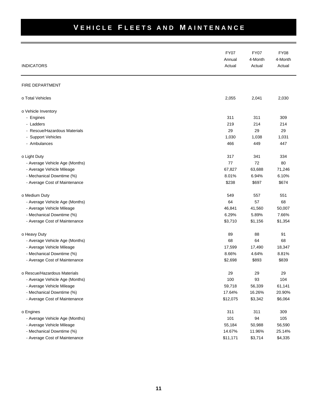| <b>INDICATORS</b>              | <b>FY07</b><br>Annual<br>Actual | <b>FY07</b><br>4-Month<br>Actual | <b>FY08</b><br>4-Month<br>Actual |
|--------------------------------|---------------------------------|----------------------------------|----------------------------------|
| FIRE DEPARTMENT                |                                 |                                  |                                  |
| o Total Vehicles               | 2,055                           | 2,041                            | 2,030                            |
| o Vehicle Inventory            |                                 |                                  |                                  |
| - Engines                      | 311                             | 311                              | 309                              |
| - Ladders                      | 219                             | 214                              | 214                              |
| - Rescue/Hazardous Materials   | 29                              | 29                               | 29                               |
| - Support Vehicles             | 1,030                           | 1,038                            | 1,031                            |
| - Ambulances                   | 466                             | 449                              | 447                              |
| o Light Duty                   | 317                             | 341                              | 334                              |
| - Average Vehicle Age (Months) | 77                              | 72                               | 80                               |
| - Average Vehicle Mileage      | 67,827                          | 63,688                           | 71,246                           |
| - Mechanical Downtime (%)      | 8.01%                           | 6.94%                            | 6.10%                            |
| - Average Cost of Maintenance  | \$238                           | \$697                            | \$674                            |
| o Medium Duty                  | 549                             | 557                              | 551                              |
| - Average Vehicle Age (Months) | 64                              | 57                               | 68                               |
| - Average Vehicle Mileage      | 46,841                          | 41,560                           | 50,007                           |
| - Mechanical Downtime (%)      | 6.29%                           | 5.89%                            | 7.66%                            |
| - Average Cost of Maintenance  | \$3,710                         | \$1,156                          | \$1,354                          |
| o Heavy Duty                   | 89                              | 88                               | 91                               |
| - Average Vehicle Age (Months) | 68                              | 64                               | 68                               |
| - Average Vehicle Mileage      | 17,599                          | 17,490                           | 18,347                           |
| - Mechanical Downtime (%)      | 8.66%                           | 4.64%                            | 8.81%                            |
| - Average Cost of Maintenance  | \$2,698                         | \$893                            | \$839                            |
| o Rescue/Hazardous Materials   | 29                              | 29                               | 29                               |
| - Average Vehicle Age (Months) | 100                             | 93                               | 104                              |
| - Average Vehicle Mileage      | 59,718                          | 56,339                           | 61,141                           |
| - Mechanical Downtime (%)      | 17.64%                          | 16.26%                           | 20.90%                           |
| - Average Cost of Maintenance  | \$12,075                        | \$3,342                          | \$6,064                          |
| o Engines                      | 311                             | 311                              | 309                              |
| - Average Vehicle Age (Months) | 101                             | 94                               | 105                              |
| - Average Vehicle Mileage      | 55,184                          | 50,988                           | 56,590                           |
| - Mechanical Downtime (%)      | 14.67%                          | 11.96%                           | 25.14%                           |
| - Average Cost of Maintenance  | \$11,171                        | \$3,714                          | \$4,335                          |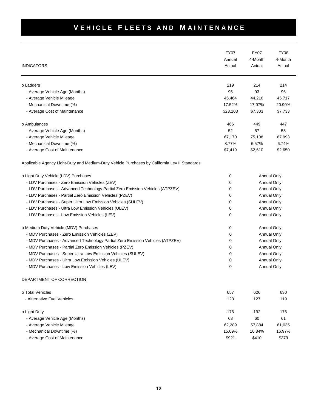| <b>INDICATORS</b>                                                                             | <b>FY07</b><br>Annual<br>Actual | <b>FY07</b><br>4-Month<br>Actual | <b>FY08</b><br>4-Month<br>Actual |
|-----------------------------------------------------------------------------------------------|---------------------------------|----------------------------------|----------------------------------|
|                                                                                               |                                 |                                  |                                  |
| o Ladders                                                                                     | 219                             | 214                              | 214                              |
| - Average Vehicle Age (Months)                                                                | 95                              | 93                               | 96                               |
| - Average Vehicle Mileage                                                                     | 45,464                          | 44,216                           | 45,717                           |
| - Mechanical Downtime (%)                                                                     | 17.52%                          | 17.07%                           | 20.90%                           |
| - Average Cost of Maintenance                                                                 | \$23,203                        | \$7,303                          | \$7,733                          |
| o Ambulances                                                                                  | 466                             | 449                              | 447                              |
| - Average Vehicle Age (Months)                                                                | 52                              | 57                               | 53                               |
| - Average Vehicle Mileage                                                                     | 67,170                          | 75,108                           | 67,993                           |
| - Mechanical Downtime (%)                                                                     | 8.77%                           | 6.57%                            | 6.74%                            |
| - Average Cost of Maintenance                                                                 | \$7,419                         | \$2,610                          | \$2,650                          |
| Applicable Agency Light-Duty and Medium-Duty Vehicle Purchases by California Lev II Standards |                                 |                                  |                                  |
| o Light Duty Vehicle (LDV) Purchases                                                          | 0                               |                                  | <b>Annual Only</b>               |
| - LDV Purchases - Zero Emission Vehicles (ZEV)                                                | 0                               | <b>Annual Only</b>               |                                  |
| - LDV Purchases - Advanced Technology Partial Zero Emission Vehicles (ATPZEV)                 | 0                               | <b>Annual Only</b>               |                                  |
| - LDV Purchases - Partial Zero Emission Vehicles (PZEV)                                       | 0                               | <b>Annual Only</b>               |                                  |
| - LDV Purchases - Super Ultra Low Emission Vehicles (SULEV)                                   | 0                               |                                  | <b>Annual Only</b>               |
| - LDV Purchases - Ultra Low Emission Vehicles (ULEV)                                          | 0                               | <b>Annual Only</b>               |                                  |
| - LDV Purchases - Low Emission Vehicles (LEV)                                                 | 0                               |                                  | <b>Annual Only</b>               |
| o Medium Duty Vehicle (MDV) Purchases                                                         | 0                               |                                  | <b>Annual Only</b>               |
| - MDV Purchases - Zero Emission Vehicles (ZEV)                                                | 0                               |                                  | <b>Annual Only</b>               |
| - MDV Purchases - Advanced Technology Partial Zero Emission Vehicles (ATPZEV)                 | 0                               |                                  | Annual Only                      |
| - MDV Purchases - Partial Zero Emission Vehicles (PZEV)                                       | 0                               |                                  | <b>Annual Only</b>               |
| - MDV Purchases - Super Ultra Low Emission Vehicles (SULEV)                                   | 0                               |                                  | Annual Only                      |
| - MDV Purchases - Ultra Low Emission Vehicles (ULEV)                                          | 0                               |                                  | Annual Only                      |
| - MDV Purchases - Low Emission Vehicles (LEV)                                                 | 0                               |                                  | <b>Annual Only</b>               |
| DEPARTMENT OF CORRECTION                                                                      |                                 |                                  |                                  |
| o Total Vehicles                                                                              | 657                             | 626                              | 630                              |
| - Alternative Fuel Vehicles                                                                   | 123                             | 127                              | 119                              |
| o Light Duty                                                                                  | 176                             | 192                              | 176                              |
| - Average Vehicle Age (Months)                                                                | 63                              | 60                               | 61                               |
| - Average Vehicle Mileage                                                                     | 62,289                          | 57,884                           | 61,035                           |
| - Mechanical Downtime (%)                                                                     | 15.09%                          | 16.84%                           | 16.97%                           |
| - Average Cost of Maintenance                                                                 | \$921                           | \$410                            | \$379                            |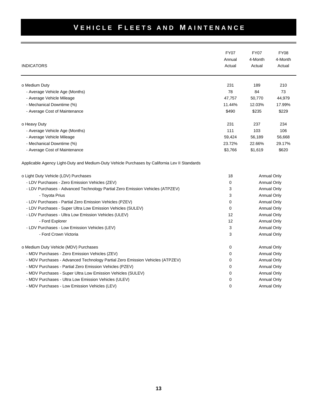| <b>INDICATORS</b>                                                                             | <b>FY07</b><br>Annual<br>Actual | <b>FY07</b><br>4-Month<br>Actual | <b>FY08</b><br>4-Month<br>Actual |
|-----------------------------------------------------------------------------------------------|---------------------------------|----------------------------------|----------------------------------|
| o Medium Duty                                                                                 | 231                             | 189                              | 210                              |
| - Average Vehicle Age (Months)                                                                | 78                              | 84                               | 73                               |
| - Average Vehicle Mileage                                                                     | 47,757                          | 50,770                           | 44,979                           |
| - Mechanical Downtime (%)                                                                     | 11.44%                          | 12.03%                           | 17.99%                           |
| - Average Cost of Maintenance                                                                 | \$490                           | \$235                            | \$229                            |
| o Heavy Duty                                                                                  | 231                             | 237                              | 234                              |
| - Average Vehicle Age (Months)                                                                | 111                             | 103                              | 106                              |
| - Average Vehicle Mileage                                                                     | 59,424                          | 56,189                           | 56,668                           |
| - Mechanical Downtime (%)                                                                     | 23.72%                          | 22.66%                           | 29.17%                           |
| - Average Cost of Maintenance                                                                 | \$3,766                         | \$1,619                          | \$620                            |
| Applicable Agency Light-Duty and Medium-Duty Vehicle Purchases by California Lev II Standards |                                 |                                  |                                  |
| o Light Duty Vehicle (LDV) Purchases                                                          | 18                              |                                  | Annual Only                      |
| - LDV Purchases - Zero Emission Vehicles (ZEV)                                                | 0                               |                                  | <b>Annual Only</b>               |
| - LDV Purchases - Advanced Technology Partial Zero Emission Vehicles (ATPZEV)                 | 3                               |                                  | <b>Annual Only</b>               |
| - Toyota Prius                                                                                | 3                               |                                  | <b>Annual Only</b>               |
| - LDV Purchases - Partial Zero Emission Vehicles (PZEV)                                       | 0                               |                                  | <b>Annual Only</b>               |
| - LDV Purchases - Super Ultra Low Emission Vehicles (SULEV)                                   | 0                               |                                  | <b>Annual Only</b>               |
| - LDV Purchases - Ultra Low Emission Vehicles (ULEV)                                          | 12                              |                                  | <b>Annual Only</b>               |
| - Ford Explorer                                                                               | 12                              |                                  | <b>Annual Only</b>               |
| - LDV Purchases - Low Emission Vehicles (LEV)                                                 | 3                               |                                  | Annual Only                      |
| - Ford Crown Victoria                                                                         | 3                               |                                  | <b>Annual Only</b>               |
| o Medium Duty Vehicle (MDV) Purchases                                                         | 0                               |                                  | <b>Annual Only</b>               |
| - MDV Purchases - Zero Emission Vehicles (ZEV)                                                | 0                               |                                  | <b>Annual Only</b>               |
| - MDV Purchases - Advanced Technology Partial Zero Emission Vehicles (ATPZEV)                 | 0                               |                                  | <b>Annual Only</b>               |
| - MDV Purchases - Partial Zero Emission Vehicles (PZEV)                                       | 0                               |                                  | <b>Annual Only</b>               |
| - MDV Purchases - Super Ultra Low Emission Vehicles (SULEV)                                   | $\mathbf 0$                     |                                  | <b>Annual Only</b>               |
| - MDV Purchases - Ultra Low Emission Vehicles (ULEV)                                          | 0                               |                                  | <b>Annual Only</b>               |
| - MDV Purchases - Low Emission Vehicles (LEV)                                                 | $\mathbf 0$                     |                                  | Annual Only                      |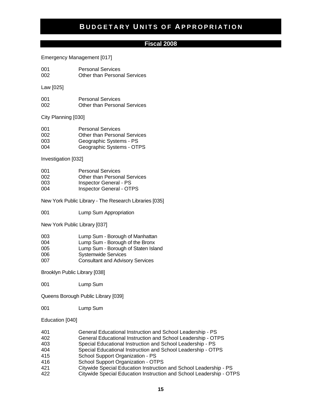#### **Fiscal 2008**

#### Emergency Management [017]

001 Personal Services 002 Other than Personal Services

Law [025]

001 Personal Services 002 Other than Personal Services

City Planning [030]

| 001 | <b>Personal Services</b>            |
|-----|-------------------------------------|
| 002 | <b>Other than Personal Services</b> |
| 003 | Geographic Systems - PS             |
| 004 | Geographic Systems - OTPS           |

Investigation [032]

| 001 | <b>Personal Services</b>            |
|-----|-------------------------------------|
| 002 | <b>Other than Personal Services</b> |
| 003 | <b>Inspector General - PS</b>       |
| 004 | <b>Inspector General - OTPS</b>     |

New York Public Library - The Research Libraries [035]

001 Lump Sum Appropriation

New York Public Library [037]

| 003 | Lump Sum - Borough of Manhattan         |
|-----|-----------------------------------------|
| 004 | Lump Sum - Borough of the Bronx         |
| 005 | Lump Sum - Borough of Staten Island     |
| 006 | <b>Systemwide Services</b>              |
| 007 | <b>Consultant and Advisory Services</b> |

Brooklyn Public Library [038]

001 Lump Sum

Queens Borough Public Library [039]

001 Lump Sum

Education [040]

- 401 General Educational Instruction and School Leadership PS 402 General Educational Instruction and School Leadership - OTPS
- 403 Special Educational Instruction and School Leadership PS
- 404 Special Educational Instruction and School Leadership OTPS
- 415 School Support Organization PS
- 416 School Support Organization OTPS
- 421 Citywide Special Education Instruction and School Leadership PS
- 422 Citywide Special Education Instruction and School Leadership OTPS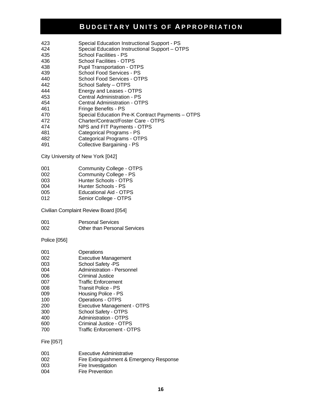- 423 Special Education Instructional Support PS
- 424 Special Education Instructional Support OTPS
- 435 School Facilities PS
- 436 School Facilities OTPS
- 438 Pupil Transportation OTPS
- 439 School Food Services PS
- 440 School Food Services OTPS
- 442 School Safety OTPS
- 444 Energy and Leases OTPS
- 453 Central Administration PS
- 454 Central Administration OTPS
- 461 Fringe Benefits PS
- 470 Special Education Pre-K Contract Payments OTPS
- 472 Charter/Contract/Foster Care OTPS
- 474 NPS and FIT Payments OTPS
- 481 Categorical Programs PS
- 482 Categorical Programs OTPS
- 491 Collective Bargaining PS

City University of New York [042]

- 001 Community College OTPS<br>002 Community College PS
- 002 Community College PS<br>003 Hunter Schools OTPS
- Hunter Schools OTPS
- 004 Hunter Schools PS
- 005 Educational Aid OTPS
- 012 Senior College OTPS

Civilian Complaint Review Board [054]

| 001 | <b>Personal Services</b>            |
|-----|-------------------------------------|
| 002 | <b>Other than Personal Services</b> |

#### Police [056]

| 001 | Operations                         |
|-----|------------------------------------|
| 002 | <b>Executive Management</b>        |
| 003 | School Safety -PS                  |
| 004 | Administration - Personnel         |
| 006 | <b>Criminal Justice</b>            |
| 007 | <b>Traffic Enforcement</b>         |
| 008 | Transit Police - PS                |
| 009 | Housing Police - PS                |
| 100 | <b>Operations - OTPS</b>           |
| 200 | <b>Executive Management - OTPS</b> |
| 300 | School Safety - OTPS               |
| 400 | Administration - OTPS              |
| 600 | Criminal Justice - OTPS            |
| 700 | <b>Traffic Enforcement - OTPS</b>  |
|     |                                    |

#### Fire [057]

| 001 | <b>Executive Administrative</b>          |
|-----|------------------------------------------|
| 002 | Fire Extinguishment & Emergency Response |
| 003 | Fire Investigation                       |
| 004 | Fire Prevention                          |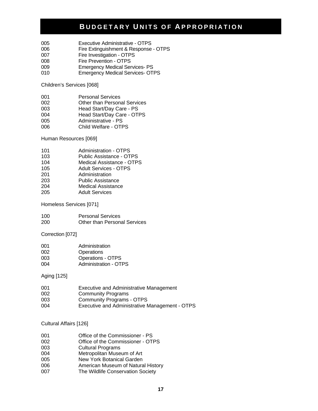- 005 Executive Administrative OTPS<br>006 Fire Extinguishment & Response
- Fire Extinguishment & Response OTPS
- 007 Fire Investigation OTPS
- 008 Fire Prevention OTPS
- 009 Emergency Medical Services- PS
- 010 Emergency Medical Services- OTPS

Children's Services [068]

| <b>Personal Services</b><br>001 |
|---------------------------------|
|---------------------------------|

- 002 **Other than Personal Services**<br>003 **Head Start/Dav Care PS**
- Head Start/Day Care PS
- 004 Head Start/Day Care OTPS
- 005 Administrative PS<br>006 Child Welfare OTF Child Welfare - OTPS

Human Resources [069]

| Administration - OTPS<br>101 |  |
|------------------------------|--|
|------------------------------|--|

- 103 Public Assistance OTPS<br>104 Medical Assistance OTP
- Medical Assistance OTPS
- 105 Adult Services OTPS<br>201 Administration
- 201 Administration<br>203 Public Assistar
- Public Assistance
- 204 Medical Assistance<br>205 Adult Services
- **Adult Services**

Homeless Services [071]

| 100 | <b>Personal Services</b>            |
|-----|-------------------------------------|
| 200 | <b>Other than Personal Services</b> |

Correction [072]

| 001 | Administration               |
|-----|------------------------------|
| 002 | Operations                   |
| 003 | <b>Operations - OTPS</b>     |
| 004 | <b>Administration - OTPS</b> |

Aging [125]

| 001 | Executive and Administrative Management        |
|-----|------------------------------------------------|
| 002 | <b>Community Programs</b>                      |
| 003 | <b>Community Programs - OTPS</b>               |
| 004 | Executive and Administrative Management - OTPS |

#### Cultural Affairs [126]

| 001 | Office of the Commissioner - PS |  |
|-----|---------------------------------|--|
|     |                                 |  |

- 002 Office of the Commissioner OTPS
- 003 Cultural Programs
- 004 Metropolitan Museum of Art<br>005 Mew York Botanical Garden
- New York Botanical Garden
- 006 American Museum of Natural History
- 007 The Wildlife Conservation Society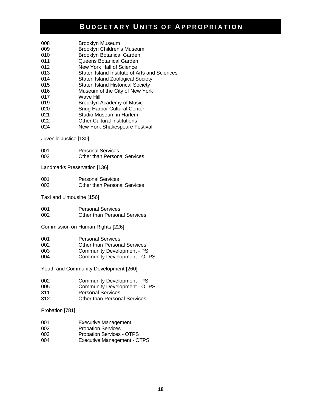- 008 Brooklyn Museum
- 009 Brooklyn Children's Museum
- 010 Brooklyn Botanical Garden
- 011 Queens Botanical Garden
- 012 New York Hall of Science
- 013 Staten Island Institute of Arts and Sciences
- 014 Staten Island Zoological Society
- 015 Staten Island Historical Society
- 016 Museum of the City of New York
- 017 Wave Hill
- 019 Brooklyn Academy of Music 020 Snug Harbor Cultural Center
- 021 Studio Museum in Harlem
- 022 Other Cultural Institutions
- 024 New York Shakespeare Festival

Juvenile Justice [130]

001 Personal Services 002 Other than Personal Services

Landmarks Preservation [136]

001 Personal Services 002 Other than Personal Services

Taxi and Limousine [156]

| 001 | <b>Personal Services</b>            |
|-----|-------------------------------------|
| 002 | <b>Other than Personal Services</b> |

Commission on Human Rights [226]

- 001 Personal Services
- 002 Other than Personal Services
- 003 Community Development PS<br>004 Community Development OT
- Community Development OTPS

Youth and Community Development [260]

| 002 | <b>Community Development - PS</b> |
|-----|-----------------------------------|

- 005 Community Development OTPS
- 311 Personal Services
- 312 Other than Personal Services

Probation [781]

- 001 Executive Management
- 002 Probation Services
- 003 Probation Services OTPS
- 004 Executive Management OTPS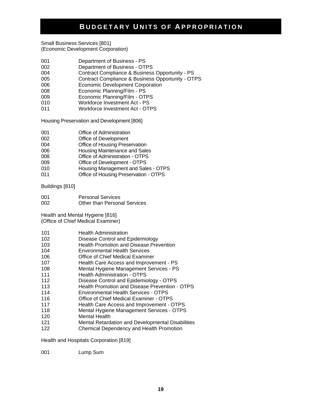Small Business Services [801] (Economic Development Corporation)

- 001 Department of Business PS
- 002 Department of Business OTPS
- 004 Contract Compliance & Business Opportunity PS
- 005 Contract Compliance & Business Opportunity OTPS
- 006 Economic Development Corporation
- 008 Economic Planning/Film PS
- 009 Economic Planning/Film OTPS
- 010 Workforce Investment Act PS
- 011 Workforce Investment Act OTPS

Housing Preservation and Development [806]

- 001 Office of Administration
- 002 Office of Development
- 004 Office of Housing Preservation
- 006 Housing Maintenance and Sales
- 008 Office of Administration OTPS<br>009 Office of Development OTPS
- Office of Development OTPS
- 010 Housing Management and Sales OTPS
- 011 Office of Housing Preservation OTPS

Buildings [810]

001 Personal Services 002 Other than Personal Services

Health and Mental Hygiene [816] (Office of Chief Medical Examiner)

- 101 **Health Administration**
- 102 Disease Control and Epidemiology
- 103 Health Promotion and Disease Prevention
- 104 Environmental Health Services
- 106 Office of Chief Medical Examiner
- 107 Health Care Access and Improvement PS
- 108 Mental Hygiene Management Services PS
- 111 **Health Administration OTPS**
- 112 Disease Control and Epidemiology OTPS
- 113 Health Promotion and Disease Prevention OTPS
- 114 Environmental Health Services OTPS
- 116 Office of Chief Medical Examiner OTPS
- 117 Health Care Access and Improvement OTPS
- 118 Mental Hygiene Management Services OTPS
- 120 Mental Health
- 121 Mental Retardation and Developmental Disabilities<br>122 Chemical Dependency and Health Promotion
- Chemical Dependency and Health Promotion

Health and Hospitals Corporation [819]

001 Lump Sum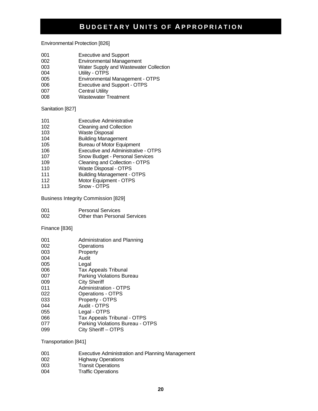Environmental Protection [826]

- 001 Executive and Support
- 002 Environmental Management<br>003 Water Supply and Wastewate
- Water Supply and Wastewater Collection
- 004 Utility OTPS
- 005 Environmental Management OTPS
- 006 Executive and Support OTPS
- 007 Central Utility
- 008 Wastewater Treatment

Sanitation [827]

| 101 | <b>Executive Administrative</b>     |
|-----|-------------------------------------|
| 102 | <b>Cleaning and Collection</b>      |
| 103 | <b>Waste Disposal</b>               |
| 104 | <b>Building Management</b>          |
| 105 | <b>Bureau of Motor Equipment</b>    |
| 106 | Executive and Administrative - OTPS |
| 107 | Snow Budget - Personal Services     |
| 109 | Cleaning and Collection - OTPS      |
| 110 | Waste Disposal - OTPS               |
| 111 | <b>Building Management - OTPS</b>   |
| 112 | Motor Equipment - OTPS              |

113 Snow - OTPS

Business Integrity Commission [829]

| 001 | <b>Personal Services</b>     |
|-----|------------------------------|
| 002 | Other than Personal Services |

Finance [836]

| 001 | Administration and Planning      |
|-----|----------------------------------|
| 002 | Operations                       |
| 003 | Property                         |
| 004 | Audit                            |
| 005 | Legal                            |
| 006 | <b>Tax Appeals Tribunal</b>      |
| 007 | <b>Parking Violations Bureau</b> |
| 009 | <b>City Sheriff</b>              |
| 011 | Administration - OTPS            |
| 022 | <b>Operations - OTPS</b>         |
| 033 | Property - OTPS                  |
| 044 | Audit - OTPS                     |
| 055 | Legal - OTPS                     |
| 066 | Tax Appeals Tribunal - OTPS      |
| 077 | Parking Violations Bureau - OTPS |
| 099 | City Sheriff - OTPS              |

Transportation [841]

| 001 | Executive Administration and Planning Management |
|-----|--------------------------------------------------|
| 002 | <b>Highway Operations</b>                        |
| 003 | <b>Transit Operations</b>                        |
| 004 | <b>Traffic Operations</b>                        |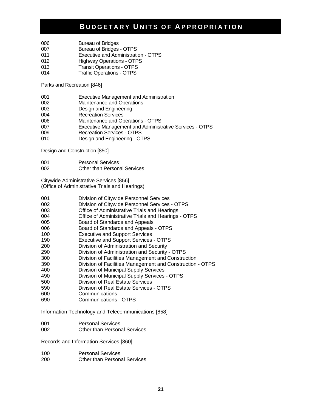- 006 Bureau of Bridges
- 007 Bureau of Bridges OTPS
- 011 Executive and Administration OTPS
- 012 Highway Operations OTPS
- 013 Transit Operations OTPS
- 014 Traffic Operations OTPS

Parks and Recreation [846]

- 001 Executive Management and Administration
- 002 Maintenance and Operations
- 003 Design and Engineering
- 004 Recreation Services
- 006 Maintenance and Operations OTPS
- 007 Executive Management and Administrative Services OTPS
- 009 Recreation Services OTPS
- 010 Design and Engineering OTPS

Design and Construction [850]

- 001 Personal Services
- 002 Other than Personal Services

Citywide Administrative Services [856] (Office of Administrative Trials and Hearings)

- 001 Division of Citywide Personnel Services
- 002 Division of Citywide Personnel Services OTPS
- 003 Office of Administrative Trials and Hearings
- 004 Office of Administrative Trials and Hearings OTPS
- 005 Board of Standards and Appeals<br>006 Board of Standards and Appeals
- Board of Standards and Appeals OTPS
- 100 Executive and Support Services
- 190 Executive and Support Services OTPS
- 200 Division of Administration and Security
- 290 Division of Administration and Security OTPS
- 300 Division of Facilities Management and Construction
- 390 Division of Facilities Management and Construction OTPS
- 400 Division of Municipal Supply Services
- 490 Division of Municipal Supply Services OTPS
- 500 Division of Real Estate Services
- 590 Division of Real Estate Services OTPS
- 600 Communications
- 690 Communications OTPS

Information Technology and Telecommunications [858]

- 001 Personal Services
- 002 Other than Personal Services

Records and Information Services [860]

| 100 | <b>Personal Services</b>            |
|-----|-------------------------------------|
| 200 | <b>Other than Personal Services</b> |